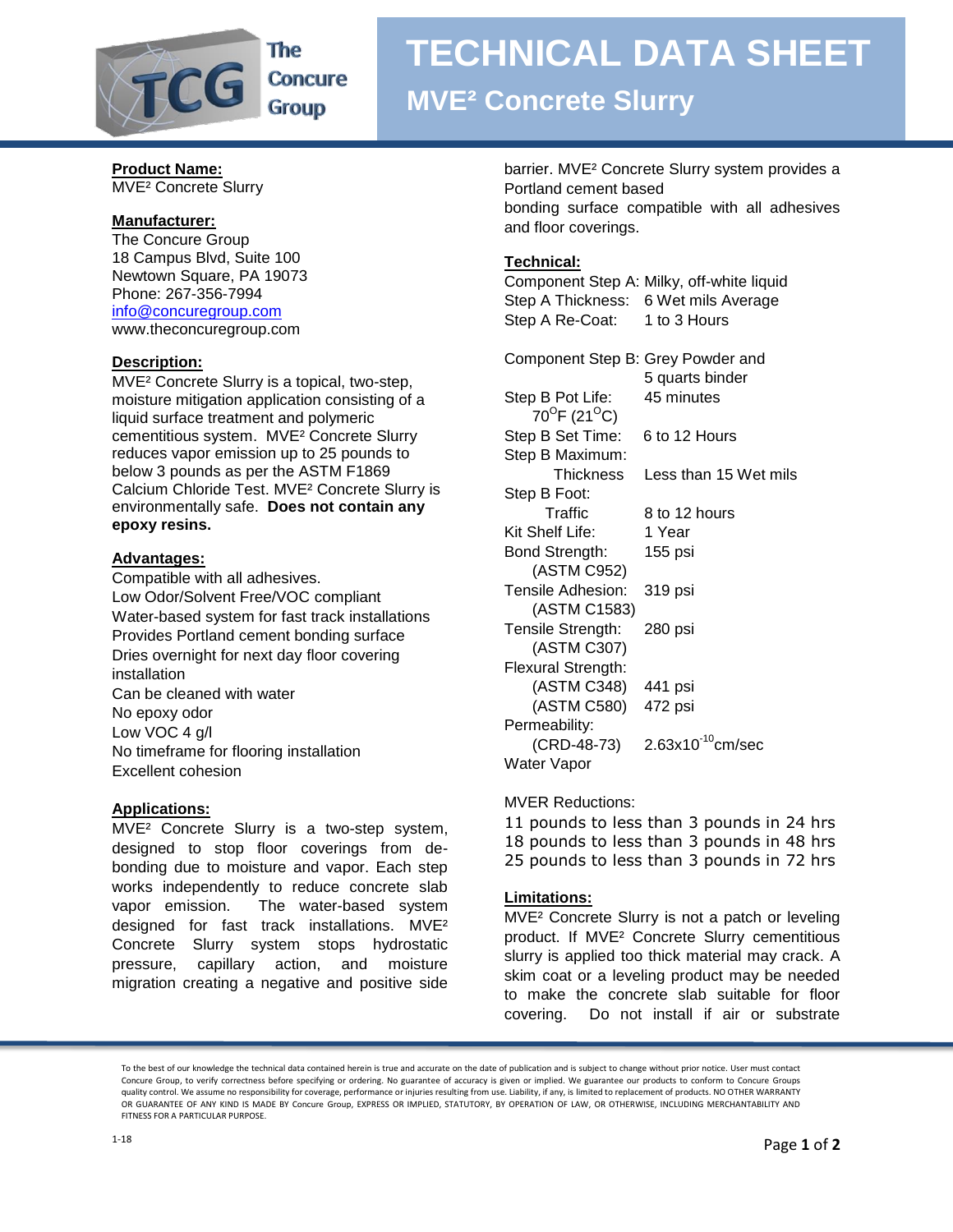

### The **Concure Group**

## **TECHNICAL DATA SHEET**

## **MVE² Concrete Slurry**

#### **Product Name:** MVE² Concrete Slurry

### **Manufacturer:**

The Concure Group 18 Campus Blvd, Suite 100 Newtown Square, PA 19073 Phone: 267-356-7994 [info@concuregroup.com](mailto:info@concuregroup.com) www.theconcuregroup.com

### **Description:**

MVE² Concrete Slurry is a topical, two-step, moisture mitigation application consisting of a liquid surface treatment and polymeric cementitious system. MVE² Concrete Slurry reduces vapor emission up to 25 pounds to below 3 pounds as per the ASTM F1869 Calcium Chloride Test. MVE² Concrete Slurry is environmentally safe. **Does not contain any epoxy resins.**

### **Advantages:**

Compatible with all adhesives. Low Odor/Solvent Free/VOC compliant Water-based system for fast track installations Provides Portland cement bonding surface Dries overnight for next day floor covering installation Can be cleaned with water No epoxy odor Low VOC 4 g/l No timeframe for flooring installation Excellent cohesion

### **Applications:**

MVE² Concrete Slurry is a two-step system, designed to stop floor coverings from debonding due to moisture and vapor. Each step works independently to reduce concrete slab vapor emission. The water-based system designed for fast track installations. MVE² Concrete Slurry system stops hydrostatic pressure, capillary action, and moisture migration creating a negative and positive side

barrier. MVE² Concrete Slurry system provides a Portland cement based bonding surface compatible with all adhesives and floor coverings.

### **Technical:**

Component Step A: Milky, off-white liquid Step A Thickness: 6 Wet mils Average Step A Re-Coat: 1 to 3 Hours

Component Step B: Grey Powder and 5 quarts binder

Step B Pot Life: 45 minutes 70<sup>0</sup>F (21<sup>0</sup>C) Step B Set Time: 6 to 12 Hours Step B Maximum: Thickness Less than 15 Wet mils Step B Foot: Traffic 8 to 12 hours Kit Shelf Life: 1 Year Bond Strength: 155 psi (ASTM C952) Tensile Adhesion: 319 psi (ASTM C1583) Tensile Strength: 280 psi (ASTM C307) Flexural Strength: (ASTM C348) 441 psi (ASTM C580) 472 psi Permeability:  $(CRD-48-73)$  2.63x10<sup>-10</sup>cm/sec Water Vapor

### MVER Reductions:

11 pounds to less than 3 pounds in 24 hrs 18 pounds to less than 3 pounds in 48 hrs 25 pounds to less than 3 pounds in 72 hrs

### **Limitations:**

MVE² Concrete Slurry is not a patch or leveling product. If MVE² Concrete Slurry cementitious slurry is applied too thick material may crack. A skim coat or a leveling product may be needed to make the concrete slab suitable for floor covering. Do not install if air or substrate

To the best of our knowledge the technical data contained herein is true and accurate on the date of publication and is subject to change without prior notice. User must contact Concure Group, to verify correctness before specifying or ordering. No guarantee of accuracy is given or implied. We guarantee our products to conform to Concure Groups quality control. We assume no responsibility for coverage, performance or injuries resulting from use. Liability, if any, is limited to replacement of products. NO OTHER WARRANTY OR GUARANTEE OF ANY KIND IS MADE BY Concure Group, EXPRESS OR IMPLIED, STATUTORY, BY OPERATION OF LAW, OR OTHERWISE, INCLUDING MERCHANTABILITY AND FITNESS FOR A PARTICULAR PURPOSE.